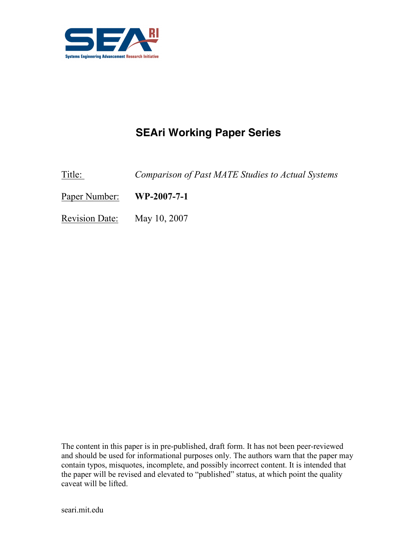

# SEAri Working Paper Series

Title: Comparison of Past MATE Studies to Actual Systems

Paper Number: WP-2007-7-1

Revision Date: May 10, 2007

The content in this paper is in pre-published, draft form. It has not been peer-reviewed and should be used for informational purposes only. The authors warn that the paper may contain typos, misquotes, incomplete, and possibly incorrect content. It is intended that the paper will be revised and elevated to "published" status, at which point the quality caveat will be lifted.

seari.mit.edu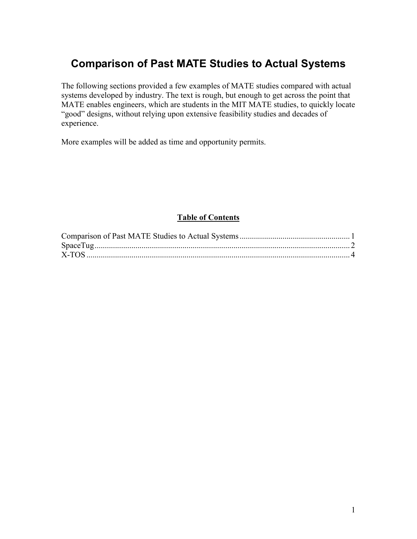### Comparison of Past MATE Studies to Actual Systems

The following sections provided a few examples of MATE studies compared with actual systems developed by industry. The text is rough, but enough to get across the point that MATE enables engineers, which are students in the MIT MATE studies, to quickly locate "good" designs, without relying upon extensive feasibility studies and decades of experience.

More examples will be added as time and opportunity permits.

#### Table of Contents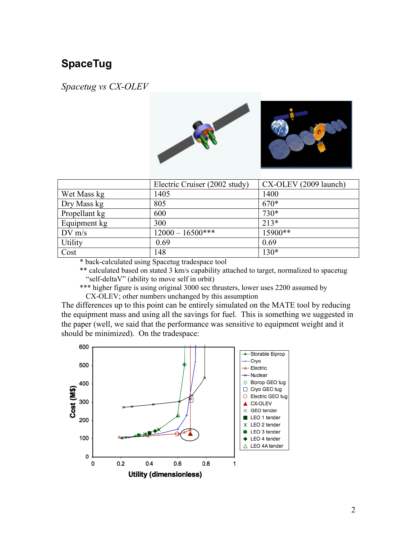## SpaceTug

Spacetug vs CX-OLEV



|               | Electric Cruiser (2002 study) | CX-OLEV (2009 launch) |
|---------------|-------------------------------|-----------------------|
| Wet Mass kg   | 1405                          | 1400                  |
| Dry Mass kg   | 805                           | 670*                  |
| Propellant kg | 600                           | 730*                  |
| Equipment kg  | 300                           | $213*$                |
| $DV$ m/s      | $12000 - 16500$ ***           | 15900**               |
| Utility       | 0.69                          | 0.69                  |
| Cost          | 148                           | 130*                  |

\* back-calculated using Spacetug tradespace tool

\*\* calculated based on stated 3 km/s capability attached to target, normalized to spacetug "self-deltaV" (ability to move self in orbit)

\*\*\* higher figure is using original 3000 sec thrusters, lower uses 2200 assumed by CX-OLEV; other numbers unchanged by this assumption

The differences up to this point can be entirely simulated on the MATE tool by reducing the equipment mass and using all the savings for fuel. This is something we suggested in the paper (well, we said that the performance was sensitive to equipment weight and it should be minimized). On the tradespace:

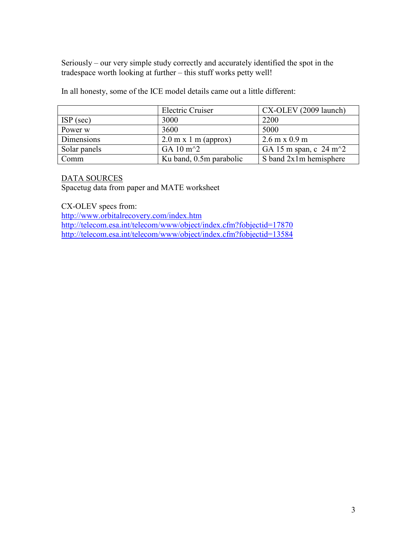Seriously – our very simple study correctly and accurately identified the spot in the tradespace worth looking at further – this stuff works petty well!

In all honesty, some of the ICE model details came out a little different:

|              | <b>Electric Cruiser</b> | CX-OLEV (2009 launch)                |
|--------------|-------------------------|--------------------------------------|
| $ISP$ (sec)  | 3000                    | 2200                                 |
| Power w      | 3600                    | 5000                                 |
| Dimensions   | $2.0$ m x 1 m (approx)  | $2.6 \text{ m} \times 0.9 \text{ m}$ |
| Solar panels | GA 10 $m^2$             | GA 15 m span, c $24 \text{ m}^2$     |
| Comm         | Ku band, 0.5m parabolic | S band 2x1m hemisphere               |

#### DATA SOURCES

Spacetug data from paper and MATE worksheet

CX-OLEV specs from: http://www.orbitalrecovery.com/index.htm http://telecom.esa.int/telecom/www/object/index.cfm?fobjectid=17870 http://telecom.esa.int/telecom/www/object/index.cfm?fobjectid=13584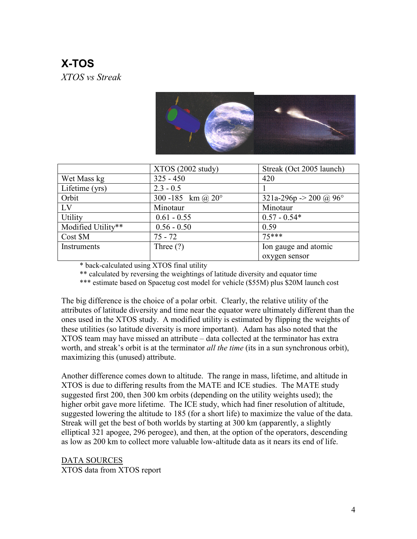## X-TOS XTOS vs Streak



|                    | XTOS(2002 study)           | Streak (Oct 2005 launch) |
|--------------------|----------------------------|--------------------------|
| Wet Mass kg        | $325 - 450$                | 420                      |
| Lifetime (yrs)     | $2.3 - 0.5$                |                          |
| Orbit              | 300 -185 km @ $20^{\circ}$ | 321a-296p -> 200 @ 96°   |
| LV                 | Minotaur                   | Minotaur                 |
| Utility            | $0.61 - 0.55$              | $0.57 - 0.54*$           |
| Modified Utility** | $0.56 - 0.50$              | 0.59                     |
| Cost \$M           | $75 - 72$                  | $75***$                  |
| Instruments        | Three $(?)$                | Ion gauge and atomic     |
|                    |                            | oxygen sensor            |

\* back-calculated using XTOS final utility

\*\* calculated by reversing the weightings of latitude diversity and equator time

\*\*\* estimate based on Spacetug cost model for vehicle (\$55M) plus \$20M launch cost

The big difference is the choice of a polar orbit. Clearly, the relative utility of the attributes of latitude diversity and time near the equator were ultimately different than the ones used in the XTOS study. A modified utility is estimated by flipping the weights of these utilities (so latitude diversity is more important). Adam has also noted that the XTOS team may have missed an attribute – data collected at the terminator has extra worth, and streak's orbit is at the terminator *all the time* (its in a sun synchronous orbit), maximizing this (unused) attribute.

Another difference comes down to altitude. The range in mass, lifetime, and altitude in XTOS is due to differing results from the MATE and ICE studies. The MATE study suggested first 200, then 300 km orbits (depending on the utility weights used); the higher orbit gave more lifetime. The ICE study, which had finer resolution of altitude, suggested lowering the altitude to 185 (for a short life) to maximize the value of the data. Streak will get the best of both worlds by starting at 300 km (apparently, a slightly elliptical 321 apogee, 296 perogee), and then, at the option of the operators, descending as low as 200 km to collect more valuable low-altitude data as it nears its end of life.

DATA SOURCES XTOS data from XTOS report